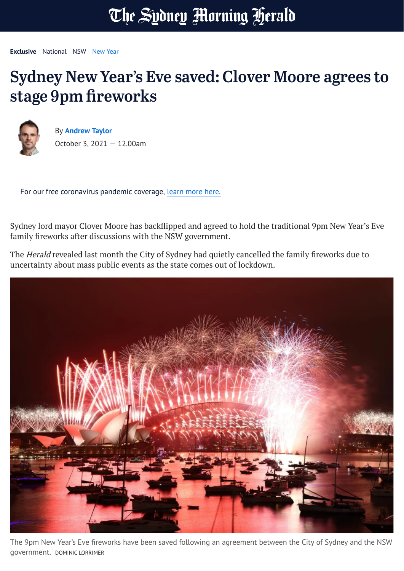## The Sydney Morning Herald

**Exclusive** [National](https://www.smh.com.au/national) [NSW](https://www.smh.com.au/national/nsw) [New](https://www.smh.com.au/topic/new-year-hpe) Year

## Sydney New Year's Eve saved: Clover Moore agrees to stage 9pm fireworks



By **[Andrew](https://www.smh.com.au/by/andrew-taylor-hvebi) Taylor** October 3, 2021 — 12.00am

For our free coronavirus pandemic coverage, learn [more](https://www.smh.com.au/national/how-we-re-keeping-you-informed-during-this-crisis-20200324-p54db0.html) here.

Sydney lord mayor Clover Moore has backflipped and agreed to hold the traditional 9pm New Year's Eve family fireworks after discussions with the NSW government.

The Herald revealed last month the City of Sydney had quietly cancelled the family fireworks due to uncertainty about mass public events as the state comes out of lockdown.



The 9pm New Year's Eve fireworks have been saved following an agreement between the City of Sydney and the NSW government. DOMINIC LORRIMER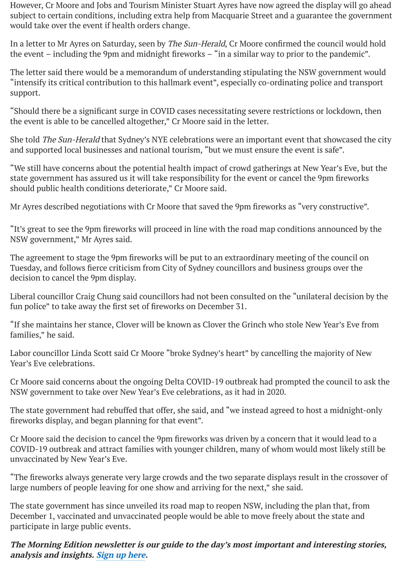However, Cr Moore and Jobs and Tourism Minister Stuart Ayres have now agreed the display will go ahead subject to certain conditions, including extra help from Macquarie Street and a guarantee the government would take over the event if health orders change.

In a letter to Mr Ayres on Saturday, seen by The Sun-Herald, Cr Moore confirmed the council would hold the event – including the 9pm and midnight fireworks – "in a similar way to prior to the pandemic".

The letter said there would be a memorandum of understanding stipulating the NSW government would "intensify its critical contribution to this hallmark event", especially co-ordinating police and transport support.

"Should there be a significant surge in COVID cases necessitating severe restrictions or lockdown, then the event is able to be cancelled altogether," Cr Moore said in the letter.

She told The Sun-Herald that Sydney's NYE celebrations were an important event that showcased the city and supported local businesses and national tourism, "but we must ensure the event is safe".

"We still have concerns about the potential health impact of crowd gatherings at New Year's Eve, but the state government has assured us it will take responsibility for the event or cancel the 9pm fireworks should public health conditions deteriorate," Cr Moore said.

Mr Ayres described negotiations with Cr Moore that saved the 9pm fireworks as "very constructive".

"It's great to see the 9pm fireworks will proceed in line with the road map conditions announced by the NSW government," Mr Ayres said.

The agreement to stage the 9pm fireworks will be put to an extraordinary meeting of the council on Tuesday, and follows fierce criticism from City of Sydney councillors and business groups over the decision to cancel the 9pm display.

Liberal councillor Craig Chung said councillors had not been consulted on the "unilateral decision by the fun police" to take away the first set of fireworks on December 31.

"If she maintains her stance, Clover will be known as Clover the Grinch who stole New Year's Eve from families," he said.

Labor councillor Linda Scott said Cr Moore "broke Sydney's heart" by cancelling the majority of New Year's Eve celebrations.

Cr Moore said concerns about the ongoing Delta COVID-19 outbreak had prompted the council to ask the NSW government to take over New Year's Eve celebrations, as it had in 2020.

The state government had rebuffed that offer, she said, and "we instead agreed to host a midnight-only fireworks display, and began planning for that event".

Cr Moore said the decision to cancel the 9pm fireworks was driven by a concern that it would lead to a COVID-19 outbreak and attract families with younger children, many of whom would most likely still be unvaccinated by New Year's Eve.

"The fireworks always generate very large crowds and the two separate displays result in the crossover of large numbers of people leaving for one show and arriving for the next," she said.

The state government has since unveiled its road map to reopen NSW, including the plan that, from December 1, vaccinated and unvaccinated people would be able to move freely about the state and participate in large public events.

## **The Morning Edition newsletter is our guide to the day's most important and interesting stories, analysis and insights. [Sign](https://www.smh.com.au/link/follow-20170101-p57ogt) up here.**